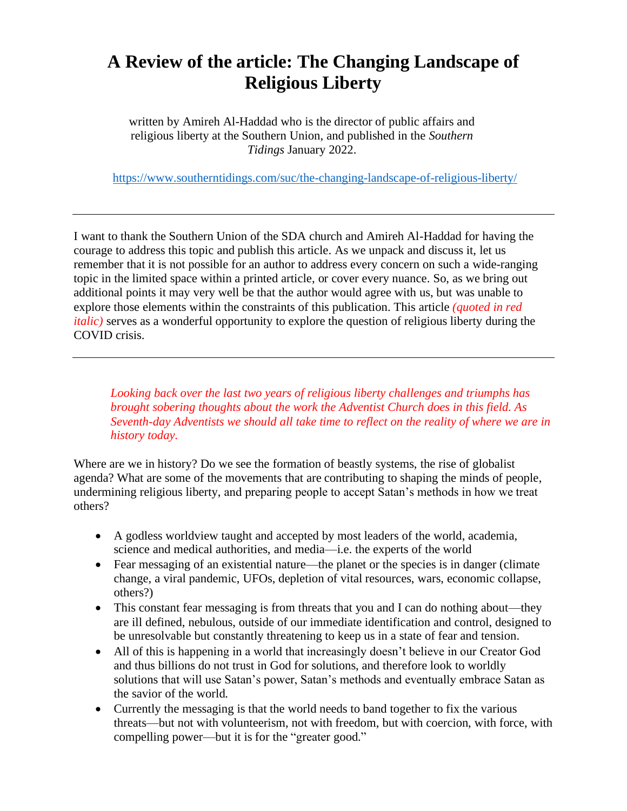## **A Review of the article: The Changing Landscape of Religious Liberty**

written by Amireh Al-Haddad who is the director of public affairs and religious liberty at the Southern Union, and published in the *Southern Tidings* January 2022.

<https://www.southerntidings.com/suc/the-changing-landscape-of-religious-liberty/>

I want to thank the Southern Union of the SDA church and Amireh Al-Haddad for having the courage to address this topic and publish this article. As we unpack and discuss it, let us remember that it is not possible for an author to address every concern on such a wide-ranging topic in the limited space within a printed article, or cover every nuance. So, as we bring out additional points it may very well be that the author would agree with us, but was unable to explore those elements within the constraints of this publication. This article *(quoted in red italic*) serves as a wonderful opportunity to explore the question of religious liberty during the COVID crisis.

*Looking back over the last two years of religious liberty challenges and triumphs has brought sobering thoughts about the work the Adventist Church does in this field. As Seventh-day Adventists we should all take time to reflect on the reality of where we are in history today.*

Where are we in history? Do we see the formation of beastly systems, the rise of globalist agenda? What are some of the movements that are contributing to shaping the minds of people, undermining religious liberty, and preparing people to accept Satan's methods in how we treat others?

- A godless worldview taught and accepted by most leaders of the world, academia, science and medical authorities, and media—i.e. the experts of the world
- Fear messaging of an existential nature—the planet or the species is in danger (climate change, a viral pandemic, UFOs, depletion of vital resources, wars, economic collapse, others?)
- This constant fear messaging is from threats that you and I can do nothing about—they are ill defined, nebulous, outside of our immediate identification and control, designed to be unresolvable but constantly threatening to keep us in a state of fear and tension.
- All of this is happening in a world that increasingly doesn't believe in our Creator God and thus billions do not trust in God for solutions, and therefore look to worldly solutions that will use Satan's power, Satan's methods and eventually embrace Satan as the savior of the world.
- Currently the messaging is that the world needs to band together to fix the various threats—but not with volunteerism, not with freedom, but with coercion, with force, with compelling power—but it is for the "greater good."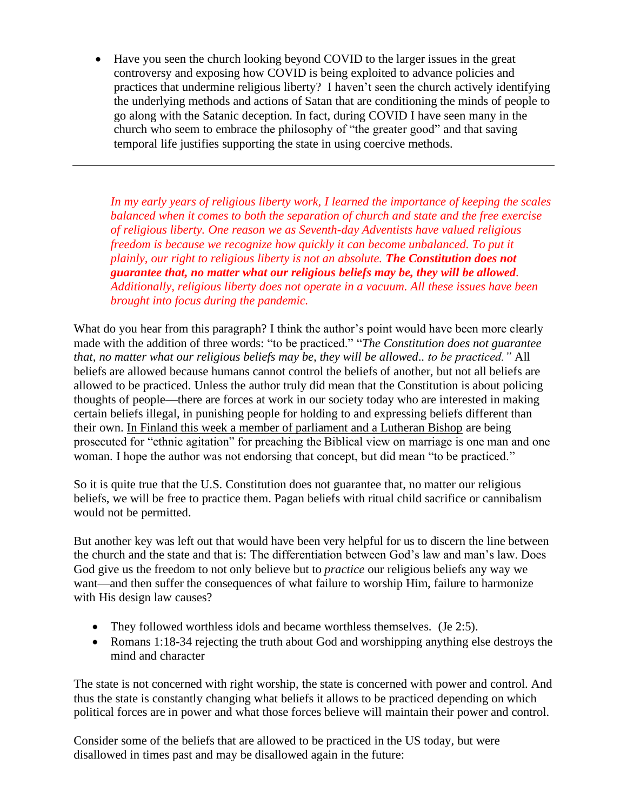• Have you seen the church looking beyond COVID to the larger issues in the great controversy and exposing how COVID is being exploited to advance policies and practices that undermine religious liberty? I haven't seen the church actively identifying the underlying methods and actions of Satan that are conditioning the minds of people to go along with the Satanic deception. In fact, during COVID I have seen many in the church who seem to embrace the philosophy of "the greater good" and that saving temporal life justifies supporting the state in using coercive methods.

*In my early years of religious liberty work, I learned the importance of keeping the scales balanced when it comes to both the separation of church and state and the free exercise of religious liberty. One reason we as Seventh-day Adventists have valued religious freedom is because we recognize how quickly it can become unbalanced. To put it plainly, our right to religious liberty is not an absolute. The Constitution does not guarantee that, no matter what our religious beliefs may be, they will be allowed. Additionally, religious liberty does not operate in a vacuum. All these issues have been brought into focus during the pandemic.*

What do you hear from this paragraph? I think the author's point would have been more clearly made with the addition of three words: "to be practiced." "*The Constitution does not guarantee that, no matter what our religious beliefs may be, they will be allowed.. to be practiced."* All beliefs are allowed because humans cannot control the beliefs of another, but not all beliefs are allowed to be practiced. Unless the author truly did mean that the Constitution is about policing thoughts of people—there are forces at work in our society today who are interested in making certain beliefs illegal, in punishing people for holding to and expressing beliefs different than their own. [In Finland this week a member of parliament and a Lutheran Bishop](https://www.foxnews.com/media/lawmaker-trial-europe-religion-free-speech-cautionary-tale) are being prosecuted for "ethnic agitation" for preaching the Biblical view on marriage is one man and one woman. I hope the author was not endorsing that concept, but did mean "to be practiced."

So it is quite true that the U.S. Constitution does not guarantee that, no matter our religious beliefs, we will be free to practice them. Pagan beliefs with ritual child sacrifice or cannibalism would not be permitted.

But another key was left out that would have been very helpful for us to discern the line between the church and the state and that is: The differentiation between God's law and man's law. Does God give us the freedom to not only believe but to *practice* our religious beliefs any way we want—and then suffer the consequences of what failure to worship Him, failure to harmonize with His design law causes?

- They followed worthless idols and became worthless themselves. (Je 2:5).
- Romans 1:18-34 rejecting the truth about God and worshipping anything else destroys the mind and character

The state is not concerned with right worship, the state is concerned with power and control. And thus the state is constantly changing what beliefs it allows to be practiced depending on which political forces are in power and what those forces believe will maintain their power and control.

Consider some of the beliefs that are allowed to be practiced in the US today, but were disallowed in times past and may be disallowed again in the future: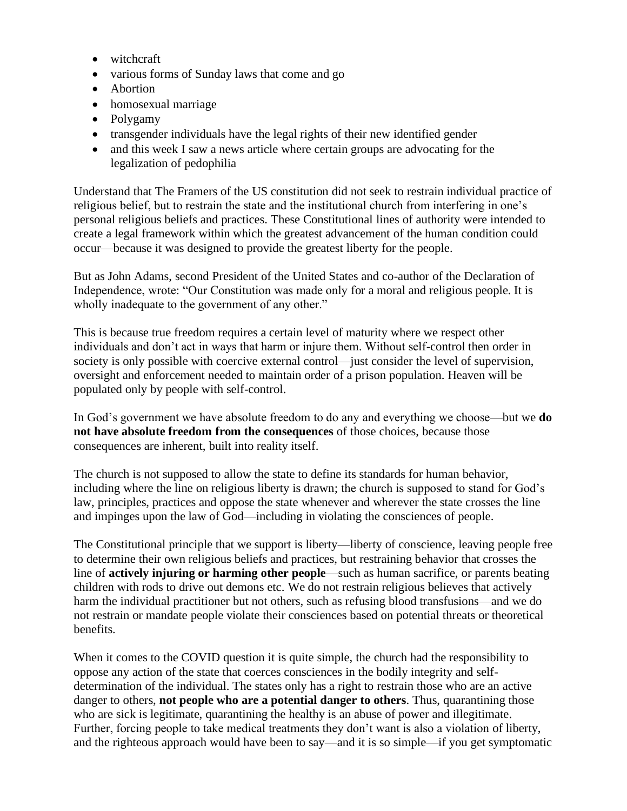- witchcraft
- various forms of Sunday laws that come and go
- Abortion
- homosexual marriage
- Polygamy
- transgender individuals have the legal rights of their new identified gender
- and this week I saw a news article where certain groups are advocating for the legalization of pedophilia

Understand that The Framers of the US constitution did not seek to restrain individual practice of religious belief, but to restrain the state and the institutional church from interfering in one's personal religious beliefs and practices. These Constitutional lines of authority were intended to create a legal framework within which the greatest advancement of the human condition could occur—because it was designed to provide the greatest liberty for the people.

But as John Adams, second President of the United States and co-author of the Declaration of Independence, wrote: "Our Constitution was made only for a moral and religious people. It is wholly inadequate to the government of any other."

This is because true freedom requires a certain level of maturity where we respect other individuals and don't act in ways that harm or injure them. Without self-control then order in society is only possible with coercive external control—just consider the level of supervision, oversight and enforcement needed to maintain order of a prison population. Heaven will be populated only by people with self-control.

In God's government we have absolute freedom to do any and everything we choose—but we **do not have absolute freedom from the consequences** of those choices, because those consequences are inherent, built into reality itself.

The church is not supposed to allow the state to define its standards for human behavior, including where the line on religious liberty is drawn; the church is supposed to stand for God's law, principles, practices and oppose the state whenever and wherever the state crosses the line and impinges upon the law of God—including in violating the consciences of people.

The Constitutional principle that we support is liberty—liberty of conscience, leaving people free to determine their own religious beliefs and practices, but restraining behavior that crosses the line of **actively injuring or harming other people**—such as human sacrifice, or parents beating children with rods to drive out demons etc. We do not restrain religious believes that actively harm the individual practitioner but not others, such as refusing blood transfusions—and we do not restrain or mandate people violate their consciences based on potential threats or theoretical benefits.

When it comes to the COVID question it is quite simple, the church had the responsibility to oppose any action of the state that coerces consciences in the bodily integrity and selfdetermination of the individual. The states only has a right to restrain those who are an active danger to others, **not people who are a potential danger to others**. Thus, quarantining those who are sick is legitimate, quarantining the healthy is an abuse of power and illegitimate. Further, forcing people to take medical treatments they don't want is also a violation of liberty, and the righteous approach would have been to say—and it is so simple—if you get symptomatic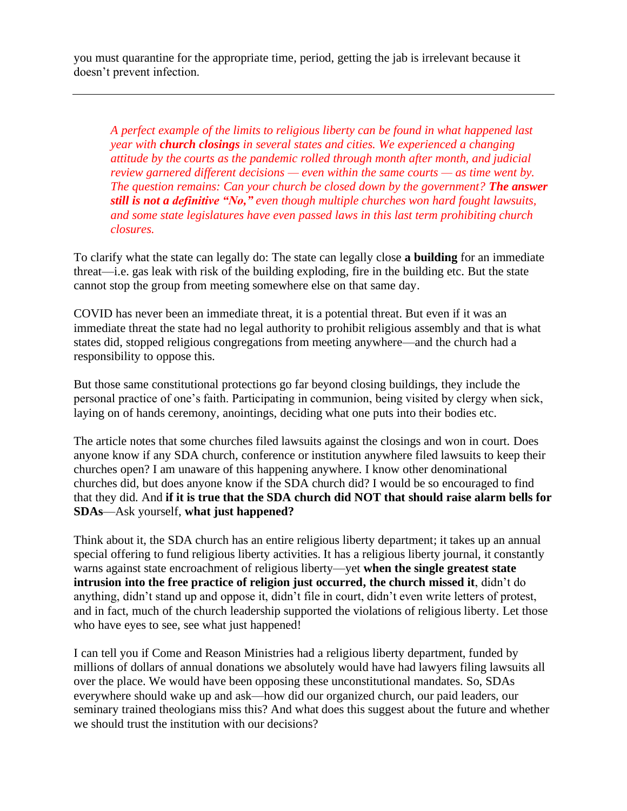you must quarantine for the appropriate time, period, getting the jab is irrelevant because it doesn't prevent infection.

*A perfect example of the limits to religious liberty can be found in what happened last year with church closings in several states and cities. We experienced a changing attitude by the courts as the pandemic rolled through month after month, and judicial review garnered different decisions — even within the same courts — as time went by. The question remains: Can your church be closed down by the government? The answer still is not a definitive "No," even though multiple churches won hard fought lawsuits, and some state legislatures have even passed laws in this last term prohibiting church closures.*

To clarify what the state can legally do: The state can legally close **a building** for an immediate threat—i.e. gas leak with risk of the building exploding, fire in the building etc. But the state cannot stop the group from meeting somewhere else on that same day.

COVID has never been an immediate threat, it is a potential threat. But even if it was an immediate threat the state had no legal authority to prohibit religious assembly and that is what states did, stopped religious congregations from meeting anywhere—and the church had a responsibility to oppose this.

But those same constitutional protections go far beyond closing buildings, they include the personal practice of one's faith. Participating in communion, being visited by clergy when sick, laying on of hands ceremony, anointings, deciding what one puts into their bodies etc.

The article notes that some churches filed lawsuits against the closings and won in court. Does anyone know if any SDA church, conference or institution anywhere filed lawsuits to keep their churches open? I am unaware of this happening anywhere. I know other denominational churches did, but does anyone know if the SDA church did? I would be so encouraged to find that they did. And **if it is true that the SDA church did NOT that should raise alarm bells for SDAs**—Ask yourself, **what just happened?**

Think about it, the SDA church has an entire religious liberty department; it takes up an annual special offering to fund religious liberty activities. It has a religious liberty journal, it constantly warns against state encroachment of religious liberty—yet **when the single greatest state intrusion into the free practice of religion just occurred, the church missed it**, didn't do anything, didn't stand up and oppose it, didn't file in court, didn't even write letters of protest, and in fact, much of the church leadership supported the violations of religious liberty. Let those who have eyes to see, see what just happened!

I can tell you if Come and Reason Ministries had a religious liberty department, funded by millions of dollars of annual donations we absolutely would have had lawyers filing lawsuits all over the place. We would have been opposing these unconstitutional mandates. So, SDAs everywhere should wake up and ask—how did our organized church, our paid leaders, our seminary trained theologians miss this? And what does this suggest about the future and whether we should trust the institution with our decisions?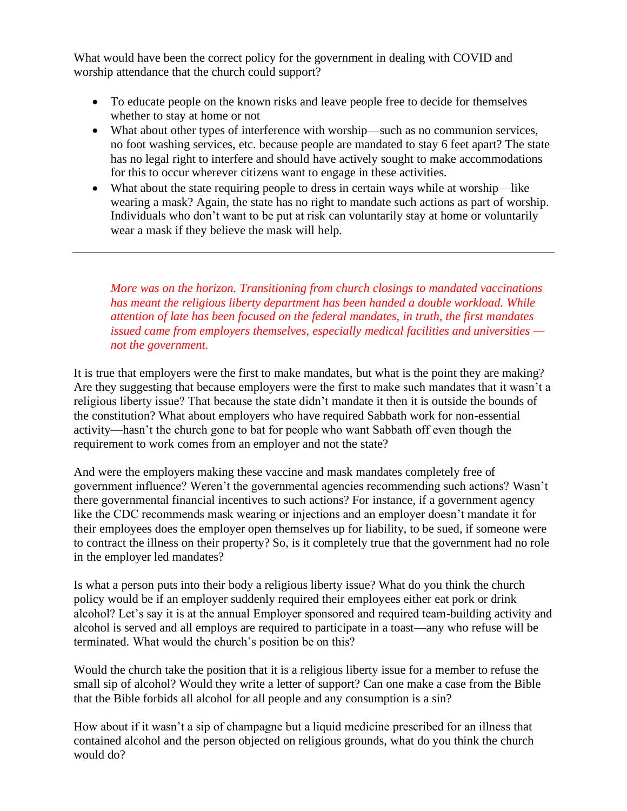What would have been the correct policy for the government in dealing with COVID and worship attendance that the church could support?

- To educate people on the known risks and leave people free to decide for themselves whether to stay at home or not
- What about other types of interference with worship—such as no communion services, no foot washing services, etc. because people are mandated to stay 6 feet apart? The state has no legal right to interfere and should have actively sought to make accommodations for this to occur wherever citizens want to engage in these activities.
- What about the state requiring people to dress in certain ways while at worship—like wearing a mask? Again, the state has no right to mandate such actions as part of worship. Individuals who don't want to be put at risk can voluntarily stay at home or voluntarily wear a mask if they believe the mask will help.

*More was on the horizon. Transitioning from church closings to mandated vaccinations*  has meant the religious liberty department has been handed a double workload. While *attention of late has been focused on the federal mandates, in truth, the first mandates issued came from employers themselves, especially medical facilities and universities not the government.*

It is true that employers were the first to make mandates, but what is the point they are making? Are they suggesting that because employers were the first to make such mandates that it wasn't a religious liberty issue? That because the state didn't mandate it then it is outside the bounds of the constitution? What about employers who have required Sabbath work for non-essential activity—hasn't the church gone to bat for people who want Sabbath off even though the requirement to work comes from an employer and not the state?

And were the employers making these vaccine and mask mandates completely free of government influence? Weren't the governmental agencies recommending such actions? Wasn't there governmental financial incentives to such actions? For instance, if a government agency like the CDC recommends mask wearing or injections and an employer doesn't mandate it for their employees does the employer open themselves up for liability, to be sued, if someone were to contract the illness on their property? So, is it completely true that the government had no role in the employer led mandates?

Is what a person puts into their body a religious liberty issue? What do you think the church policy would be if an employer suddenly required their employees either eat pork or drink alcohol? Let's say it is at the annual Employer sponsored and required team-building activity and alcohol is served and all employs are required to participate in a toast—any who refuse will be terminated. What would the church's position be on this?

Would the church take the position that it is a religious liberty issue for a member to refuse the small sip of alcohol? Would they write a letter of support? Can one make a case from the Bible that the Bible forbids all alcohol for all people and any consumption is a sin?

How about if it wasn't a sip of champagne but a liquid medicine prescribed for an illness that contained alcohol and the person objected on religious grounds, what do you think the church would do?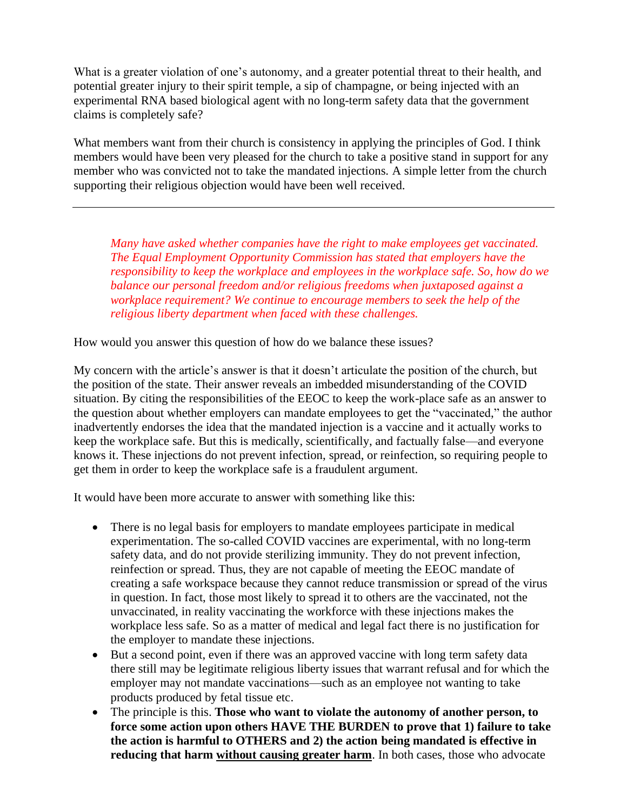What is a greater violation of one's autonomy, and a greater potential threat to their health, and potential greater injury to their spirit temple, a sip of champagne, or being injected with an experimental RNA based biological agent with no long-term safety data that the government claims is completely safe?

What members want from their church is consistency in applying the principles of God. I think members would have been very pleased for the church to take a positive stand in support for any member who was convicted not to take the mandated injections. A simple letter from the church supporting their religious objection would have been well received.

*Many have asked whether companies have the right to make employees get vaccinated. The Equal Employment Opportunity Commission has stated that employers have the responsibility to keep the workplace and employees in the workplace safe. So, how do we balance our personal freedom and/or religious freedoms when juxtaposed against a workplace requirement? We continue to encourage members to seek the help of the religious liberty department when faced with these challenges.*

How would you answer this question of how do we balance these issues?

My concern with the article's answer is that it doesn't articulate the position of the church, but the position of the state. Their answer reveals an imbedded misunderstanding of the COVID situation. By citing the responsibilities of the EEOC to keep the work-place safe as an answer to the question about whether employers can mandate employees to get the "vaccinated," the author inadvertently endorses the idea that the mandated injection is a vaccine and it actually works to keep the workplace safe. But this is medically, scientifically, and factually false—and everyone knows it. These injections do not prevent infection, spread, or reinfection, so requiring people to get them in order to keep the workplace safe is a fraudulent argument.

It would have been more accurate to answer with something like this:

- There is no legal basis for employers to mandate employees participate in medical experimentation. The so-called COVID vaccines are experimental, with no long-term safety data, and do not provide sterilizing immunity. They do not prevent infection, reinfection or spread. Thus, they are not capable of meeting the EEOC mandate of creating a safe workspace because they cannot reduce transmission or spread of the virus in question. In fact, those most likely to spread it to others are the vaccinated, not the unvaccinated, in reality vaccinating the workforce with these injections makes the workplace less safe. So as a matter of medical and legal fact there is no justification for the employer to mandate these injections.
- But a second point, even if there was an approved vaccine with long term safety data there still may be legitimate religious liberty issues that warrant refusal and for which the employer may not mandate vaccinations—such as an employee not wanting to take products produced by fetal tissue etc.
- The principle is this. **Those who want to violate the autonomy of another person, to force some action upon others HAVE THE BURDEN to prove that 1) failure to take the action is harmful to OTHERS and 2) the action being mandated is effective in reducing that harm without causing greater harm**. In both cases, those who advocate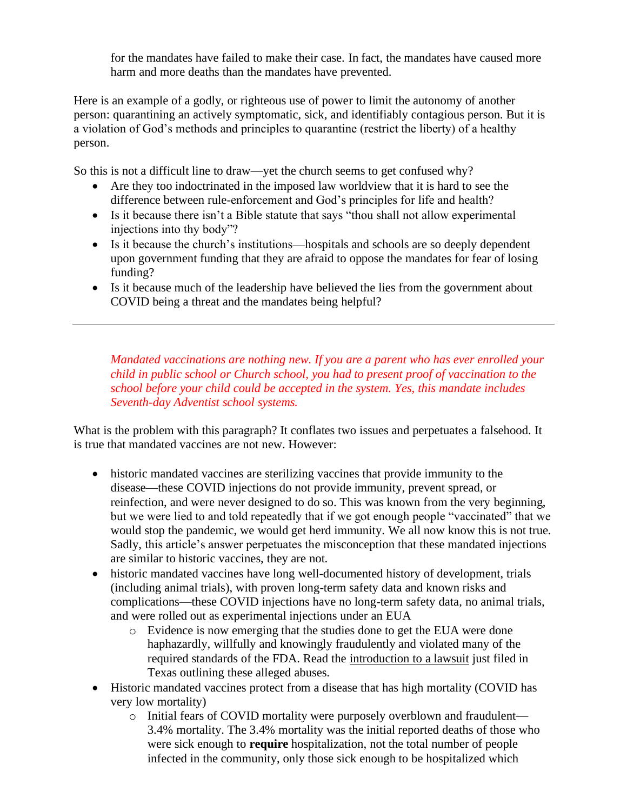for the mandates have failed to make their case. In fact, the mandates have caused more harm and more deaths than the mandates have prevented.

Here is an example of a godly, or righteous use of power to limit the autonomy of another person: quarantining an actively symptomatic, sick, and identifiably contagious person. But it is a violation of God's methods and principles to quarantine (restrict the liberty) of a healthy person.

So this is not a difficult line to draw—yet the church seems to get confused why?

- Are they too indoctrinated in the imposed law worldview that it is hard to see the difference between rule-enforcement and God's principles for life and health?
- Is it because there isn't a Bible statute that says "thou shall not allow experimental injections into thy body"?
- Is it because the church's institutions—hospitals and schools are so deeply dependent upon government funding that they are afraid to oppose the mandates for fear of losing funding?
- Is it because much of the leadership have believed the lies from the government about COVID being a threat and the mandates being helpful?

*Mandated vaccinations are nothing new. If you are a parent who has ever enrolled your child in public school or Church school, you had to present proof of vaccination to the school before your child could be accepted in the system. Yes, this mandate includes Seventh-day Adventist school systems.*

What is the problem with this paragraph? It conflates two issues and perpetuates a falsehood. It is true that mandated vaccines are not new. However:

- historic mandated vaccines are sterilizing vaccines that provide immunity to the disease—these COVID injections do not provide immunity, prevent spread, or reinfection, and were never designed to do so. This was known from the very beginning, but we were lied to and told repeatedly that if we got enough people "vaccinated" that we would stop the pandemic, we would get herd immunity. We all now know this is not true. Sadly, this article's answer perpetuates the misconception that these mandated injections are similar to historic vaccines, they are not.
- historic mandated vaccines have long well-documented history of development, trials (including animal trials), with proven long-term safety data and known risks and complications—these COVID injections have no long-term safety data, no animal trials, and were rolled out as experimental injections under an EUA
	- o Evidence is now emerging that the studies done to get the EUA were done haphazardly, willfully and knowingly fraudulently and violated many of the required standards of the FDA. Read the [introduction to a lawsuit](https://cdn.locals.com/documents/47656/47656_e41yu6vd2x117dq.pdf) just filed in Texas outlining these alleged abuses.
- Historic mandated vaccines protect from a disease that has high mortality (COVID has very low mortality)
	- o Initial fears of COVID mortality were purposely overblown and fraudulent— 3.4% mortality. The 3.4% mortality was the initial reported deaths of those who were sick enough to **require** hospitalization, not the total number of people infected in the community, only those sick enough to be hospitalized which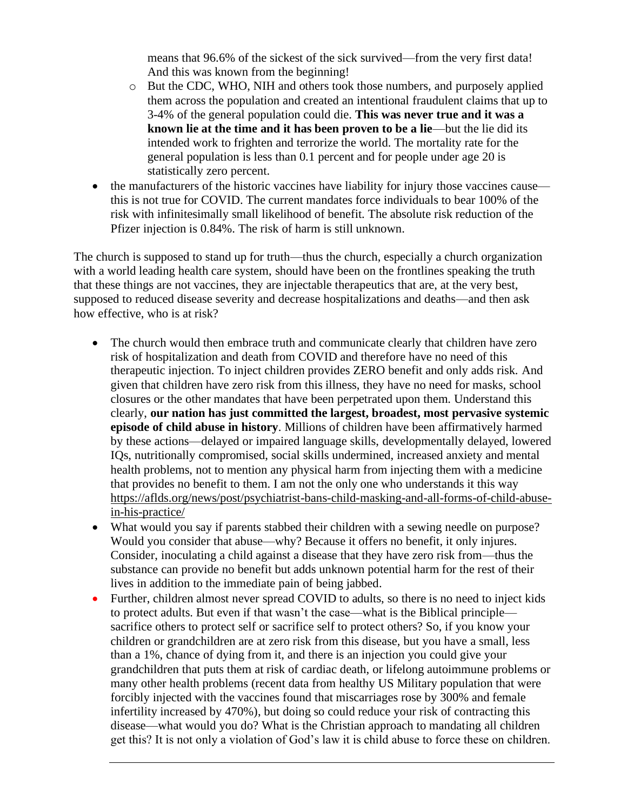means that 96.6% of the sickest of the sick survived—from the very first data! And this was known from the beginning!

- o But the CDC, WHO, NIH and others took those numbers, and purposely applied them across the population and created an intentional fraudulent claims that up to 3-4% of the general population could die. **This was never true and it was a known lie at the time and it has been proven to be a lie—but the lie did its** intended work to frighten and terrorize the world. The mortality rate for the general population is less than 0.1 percent and for people under age 20 is statistically zero percent.
- the manufacturers of the historic vaccines have liability for injury those vaccines cause this is not true for COVID. The current mandates force individuals to bear 100% of the risk with infinitesimally small likelihood of benefit. The absolute risk reduction of the Pfizer injection is 0.84%. The risk of harm is still unknown.

The church is supposed to stand up for truth—thus the church, especially a church organization with a world leading health care system, should have been on the frontlines speaking the truth that these things are not vaccines, they are injectable therapeutics that are, at the very best, supposed to reduced disease severity and decrease hospitalizations and deaths—and then ask how effective, who is at risk?

- The church would then embrace truth and communicate clearly that children have zero risk of hospitalization and death from COVID and therefore have no need of this therapeutic injection. To inject children provides ZERO benefit and only adds risk. And given that children have zero risk from this illness, they have no need for masks, school closures or the other mandates that have been perpetrated upon them. Understand this clearly, **our nation has just committed the largest, broadest, most pervasive systemic episode of child abuse in history**. Millions of children have been affirmatively harmed by these actions—delayed or impaired language skills, developmentally delayed, lowered IQs, nutritionally compromised, social skills undermined, increased anxiety and mental health problems, not to mention any physical harm from injecting them with a medicine that provides no benefit to them. I am not the only one who understands it this way [https://aflds.org/news/post/psychiatrist-bans-child-masking-and-all-forms-of-child-abuse](https://aflds.org/news/post/psychiatrist-bans-child-masking-and-all-forms-of-child-abuse-in-his-practice/)[in-his-practice/](https://aflds.org/news/post/psychiatrist-bans-child-masking-and-all-forms-of-child-abuse-in-his-practice/)
- What would you say if parents stabbed their children with a sewing needle on purpose? Would you consider that abuse—why? Because it offers no benefit, it only injures. Consider, inoculating a child against a disease that they have zero risk from—thus the substance can provide no benefit but adds unknown potential harm for the rest of their lives in addition to the immediate pain of being jabbed.
- Further, children almost never spread COVID to adults, so there is no need to inject kids to protect adults. But even if that wasn't the case—what is the Biblical principle sacrifice others to protect self or sacrifice self to protect others? So, if you know your children or grandchildren are at zero risk from this disease, but you have a small, less than a 1%, chance of dying from it, and there is an injection you could give your grandchildren that puts them at risk of cardiac death, or lifelong autoimmune problems or many other health problems (recent data from healthy US Military population that were forcibly injected with the vaccines found that miscarriages rose by 300% and female infertility increased by 470%), but doing so could reduce your risk of contracting this disease—what would you do? What is the Christian approach to mandating all children get this? It is not only a violation of God's law it is child abuse to force these on children.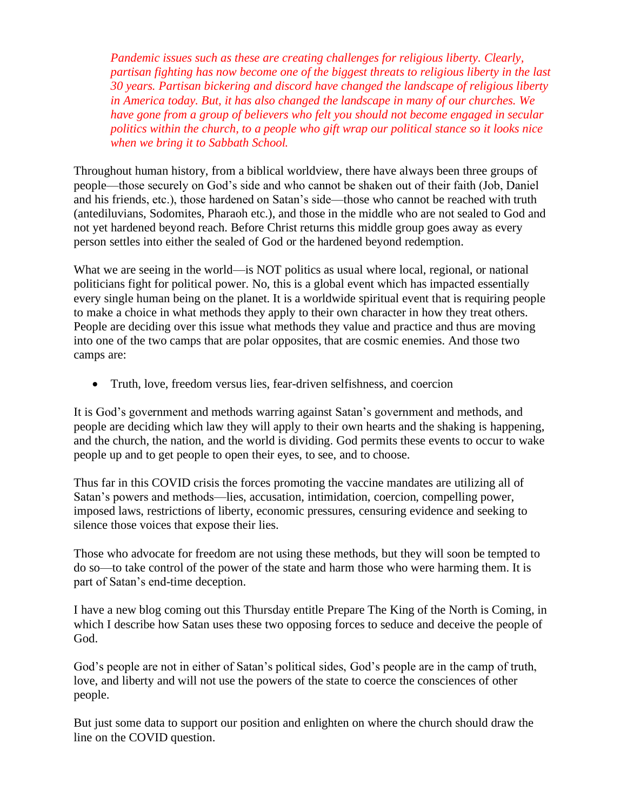*Pandemic issues such as these are creating challenges for religious liberty. Clearly, partisan fighting has now become one of the biggest threats to religious liberty in the last 30 years. Partisan bickering and discord have changed the landscape of religious liberty in America today. But, it has also changed the landscape in many of our churches. We have gone from a group of believers who felt you should not become engaged in secular politics within the church, to a people who gift wrap our political stance so it looks nice when we bring it to Sabbath School.*

Throughout human history, from a biblical worldview, there have always been three groups of people—those securely on God's side and who cannot be shaken out of their faith (Job, Daniel and his friends, etc.), those hardened on Satan's side—those who cannot be reached with truth (antediluvians, Sodomites, Pharaoh etc.), and those in the middle who are not sealed to God and not yet hardened beyond reach. Before Christ returns this middle group goes away as every person settles into either the sealed of God or the hardened beyond redemption.

What we are seeing in the world—is NOT politics as usual where local, regional, or national politicians fight for political power. No, this is a global event which has impacted essentially every single human being on the planet. It is a worldwide spiritual event that is requiring people to make a choice in what methods they apply to their own character in how they treat others. People are deciding over this issue what methods they value and practice and thus are moving into one of the two camps that are polar opposites, that are cosmic enemies. And those two camps are:

• Truth, love, freedom versus lies, fear-driven selfishness, and coercion

It is God's government and methods warring against Satan's government and methods, and people are deciding which law they will apply to their own hearts and the shaking is happening, and the church, the nation, and the world is dividing. God permits these events to occur to wake people up and to get people to open their eyes, to see, and to choose.

Thus far in this COVID crisis the forces promoting the vaccine mandates are utilizing all of Satan's powers and methods—lies, accusation, intimidation, coercion, compelling power, imposed laws, restrictions of liberty, economic pressures, censuring evidence and seeking to silence those voices that expose their lies.

Those who advocate for freedom are not using these methods, but they will soon be tempted to do so—to take control of the power of the state and harm those who were harming them. It is part of Satan's end-time deception.

I have a new blog coming out this Thursday entitle Prepare The King of the North is Coming, in which I describe how Satan uses these two opposing forces to seduce and deceive the people of God.

God's people are not in either of Satan's political sides, God's people are in the camp of truth, love, and liberty and will not use the powers of the state to coerce the consciences of other people.

But just some data to support our position and enlighten on where the church should draw the line on the COVID question.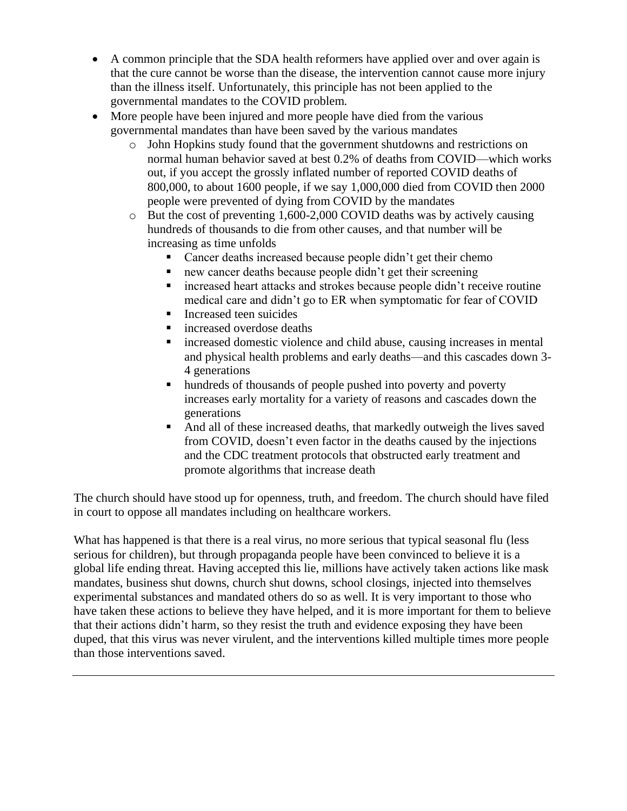- A common principle that the SDA health reformers have applied over and over again is that the cure cannot be worse than the disease, the intervention cannot cause more injury than the illness itself. Unfortunately, this principle has not been applied to the governmental mandates to the COVID problem.
- More people have been injured and more people have died from the various governmental mandates than have been saved by the various mandates
	- o John Hopkins study found that the government shutdowns and restrictions on normal human behavior saved at best 0.2% of deaths from COVID—which works out, if you accept the grossly inflated number of reported COVID deaths of 800,000, to about 1600 people, if we say 1,000,000 died from COVID then 2000 people were prevented of dying from COVID by the mandates
	- o But the cost of preventing 1,600-2,000 COVID deaths was by actively causing hundreds of thousands to die from other causes, and that number will be increasing as time unfolds
		- Cancer deaths increased because people didn't get their chemo
		- new cancer deaths because people didn't get their screening
		- increased heart attacks and strokes because people didn't receive routine medical care and didn't go to ER when symptomatic for fear of COVID
		- Increased teen suicides
		- increased overdose deaths
		- increased domestic violence and child abuse, causing increases in mental and physical health problems and early deaths—and this cascades down 3- 4 generations
		- hundreds of thousands of people pushed into poverty and poverty increases early mortality for a variety of reasons and cascades down the generations
		- And all of these increased deaths, that markedly outweigh the lives saved from COVID, doesn't even factor in the deaths caused by the injections and the CDC treatment protocols that obstructed early treatment and promote algorithms that increase death

The church should have stood up for openness, truth, and freedom. The church should have filed in court to oppose all mandates including on healthcare workers.

What has happened is that there is a real virus, no more serious that typical seasonal flu (less) serious for children), but through propaganda people have been convinced to believe it is a global life ending threat. Having accepted this lie, millions have actively taken actions like mask mandates, business shut downs, church shut downs, school closings, injected into themselves experimental substances and mandated others do so as well. It is very important to those who have taken these actions to believe they have helped, and it is more important for them to believe that their actions didn't harm, so they resist the truth and evidence exposing they have been duped, that this virus was never virulent, and the interventions killed multiple times more people than those interventions saved.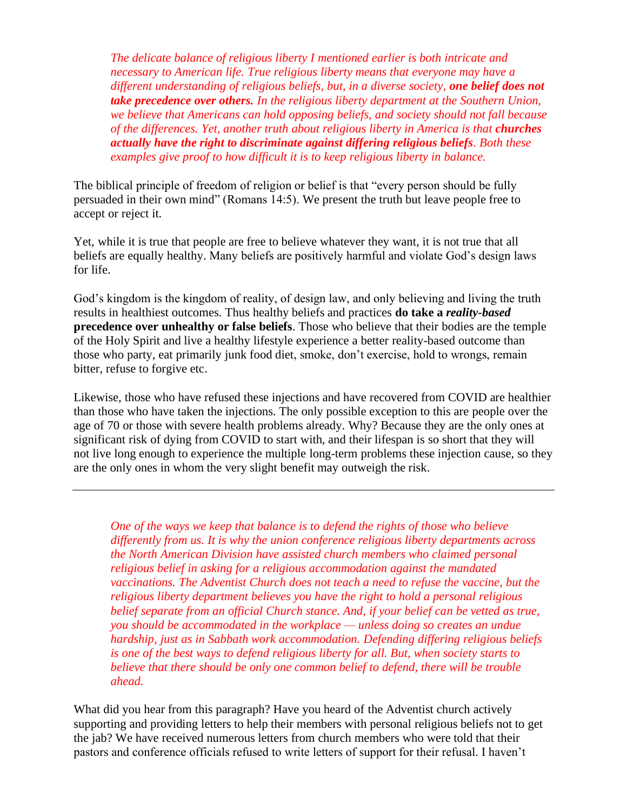*The delicate balance of religious liberty I mentioned earlier is both intricate and necessary to American life. True religious liberty means that everyone may have a different understanding of religious beliefs, but, in a diverse society, one belief does not take precedence over others. In the religious liberty department at the Southern Union, we believe that Americans can hold opposing beliefs, and society should not fall because of the differences. Yet, another truth about religious liberty in America is that <i>churches actually have the right to discriminate against differing religious beliefs. Both these examples give proof to how difficult it is to keep religious liberty in balance.*

The biblical principle of freedom of religion or belief is that "every person should be fully persuaded in their own mind" (Romans 14:5). We present the truth but leave people free to accept or reject it.

Yet, while it is true that people are free to believe whatever they want, it is not true that all beliefs are equally healthy. Many beliefs are positively harmful and violate God's design laws for life.

God's kingdom is the kingdom of reality, of design law, and only believing and living the truth results in healthiest outcomes. Thus healthy beliefs and practices **do take a** *reality-based* **precedence over unhealthy or false beliefs**. Those who believe that their bodies are the temple of the Holy Spirit and live a healthy lifestyle experience a better reality-based outcome than those who party, eat primarily junk food diet, smoke, don't exercise, hold to wrongs, remain bitter, refuse to forgive etc.

Likewise, those who have refused these injections and have recovered from COVID are healthier than those who have taken the injections. The only possible exception to this are people over the age of 70 or those with severe health problems already. Why? Because they are the only ones at significant risk of dying from COVID to start with, and their lifespan is so short that they will not live long enough to experience the multiple long-term problems these injection cause, so they are the only ones in whom the very slight benefit may outweigh the risk.

*One of the ways we keep that balance is to defend the rights of those who believe differently from us. It is why the union conference religious liberty departments across the North American Division have assisted church members who claimed personal religious belief in asking for a religious accommodation against the mandated vaccinations. The Adventist Church does not teach a need to refuse the vaccine, but the religious liberty department believes you have the right to hold a personal religious belief separate from an official Church stance. And, if your belief can be vetted as true, you should be accommodated in the workplace — unless doing so creates an undue hardship, just as in Sabbath work accommodation. Defending differing religious beliefs is one of the best ways to defend religious liberty for all. But, when society starts to believe that there should be only one common belief to defend, there will be trouble ahead.*

What did you hear from this paragraph? Have you heard of the Adventist church actively supporting and providing letters to help their members with personal religious beliefs not to get the jab? We have received numerous letters from church members who were told that their pastors and conference officials refused to write letters of support for their refusal. I haven't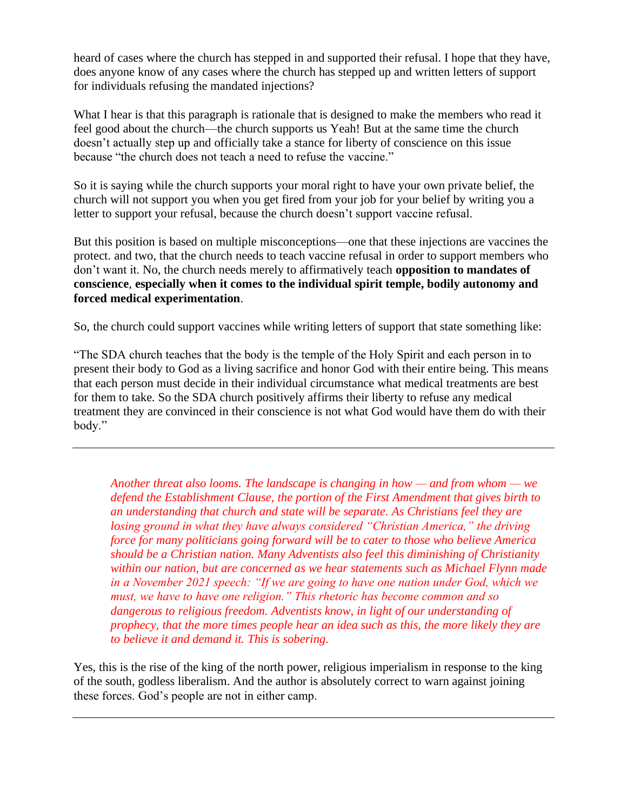heard of cases where the church has stepped in and supported their refusal. I hope that they have, does anyone know of any cases where the church has stepped up and written letters of support for individuals refusing the mandated injections?

What I hear is that this paragraph is rationale that is designed to make the members who read it feel good about the church—the church supports us Yeah! But at the same time the church doesn't actually step up and officially take a stance for liberty of conscience on this issue because "the church does not teach a need to refuse the vaccine."

So it is saying while the church supports your moral right to have your own private belief, the church will not support you when you get fired from your job for your belief by writing you a letter to support your refusal, because the church doesn't support vaccine refusal.

But this position is based on multiple misconceptions—one that these injections are vaccines the protect. and two, that the church needs to teach vaccine refusal in order to support members who don't want it. No, the church needs merely to affirmatively teach **opposition to mandates of conscience**, **especially when it comes to the individual spirit temple, bodily autonomy and forced medical experimentation**.

So, the church could support vaccines while writing letters of support that state something like:

"The SDA church teaches that the body is the temple of the Holy Spirit and each person in to present their body to God as a living sacrifice and honor God with their entire being. This means that each person must decide in their individual circumstance what medical treatments are best for them to take. So the SDA church positively affirms their liberty to refuse any medical treatment they are convinced in their conscience is not what God would have them do with their body."

*Another threat also looms. The landscape is changing in how — and from whom — we defend the Establishment Clause, the portion of the First Amendment that gives birth to an understanding that church and state will be separate. As Christians feel they are losing ground in what they have always considered "Christian America," the driving force for many politicians going forward will be to cater to those who believe America should be a Christian nation. Many Adventists also feel this diminishing of Christianity within our nation, but are concerned as we hear statements such as Michael Flynn made in a November 2021 speech: "If we are going to have one nation under God, which we must, we have to have one religion." This rhetoric has become common and so dangerous to religious freedom. Adventists know, in light of our understanding of prophecy, that the more times people hear an idea such as this, the more likely they are to believe it and demand it. This is sobering.*

Yes, this is the rise of the king of the north power, religious imperialism in response to the king of the south, godless liberalism. And the author is absolutely correct to warn against joining these forces. God's people are not in either camp.